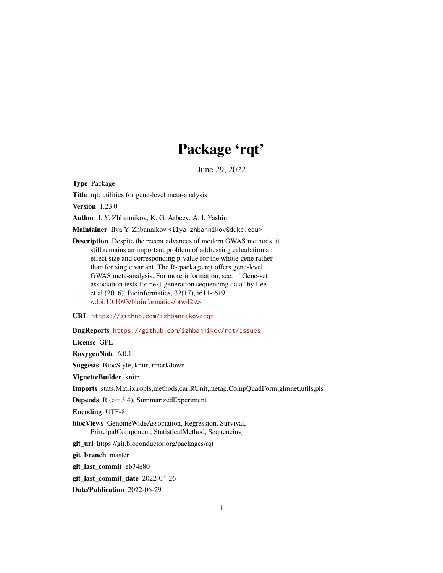# Package 'rqt'

June 29, 2022

Type Package

Title rqt: utilities for gene-level meta-analysis

Version 1.23.0

Author I. Y. Zhbannikov, K. G. Arbeev, A. I. Yashin.

Maintainer Ilya Y. Zhbannikov <ilya.zhbannikov@duke.edu>

Description Despite the recent advances of modern GWAS methods, it still remains an important problem of addressing calculation an effect size and corresponding p-value for the whole gene rather<br>than for single variant. The R- package rqt offers gene-level<br>GWAS meta-analysis. For more information, see: ``Gene-set than for single variant. The R- package rqt offers gene-level association tests for next-generation sequencing data'' by Lee et al (2016), Bioinformatics, 32(17), i611-i619, [<doi:10.1093/bioinformatics/btw429>](https://doi.org/10.1093/bioinformatics/btw429).

URL <https://github.com/izhbannikov/rqt>

BugReports <https://github.com/izhbannikov/rqt/issues>

License GPL

RoxygenNote 6.0.1

Suggests BiocStyle, knitr, rmarkdown

VignetteBuilder knitr

Imports stats,Matrix,ropls,methods,car,RUnit,metap,CompQuadForm,glmnet,utils,pls

Depends R (>= 3.4), SummarizedExperiment

Encoding UTF-8

biocViews GenomeWideAssociation, Regression, Survival, PrincipalComponent, StatisticalMethod, Sequencing

git\_url https://git.bioconductor.org/packages/rqt

git branch master

git\_last\_commit eb34e80

git last commit date 2022-04-26

Date/Publication 2022-06-29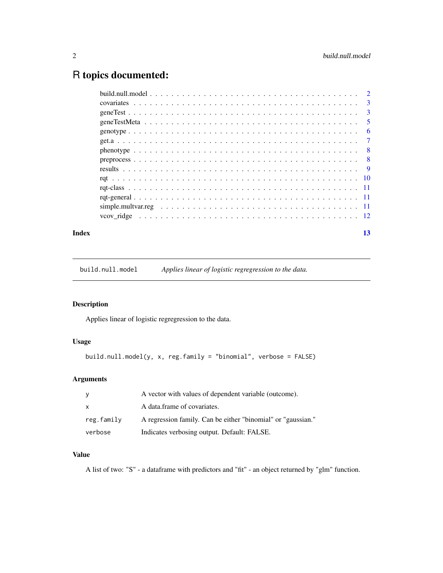# <span id="page-1-0"></span>R topics documented:

| Index | 13 |
|-------|----|

build.null.model *Applies linear of logistic regregression to the data.*

# Description

Applies linear of logistic regregression to the data.

# Usage

```
build.null.model(y, x, reg.family = "binomial", verbose = FALSE)
```
# Arguments

| У          | A vector with values of dependent variable (outcome).        |
|------------|--------------------------------------------------------------|
| X          | A data frame of covariates.                                  |
| reg.family | A regression family. Can be either "binomial" or "gaussian." |
| verbose    | Indicates verbosing output. Default: FALSE.                  |

# Value

A list of two: "S" - a dataframe with predictors and "fit" - an object returned by "glm" function.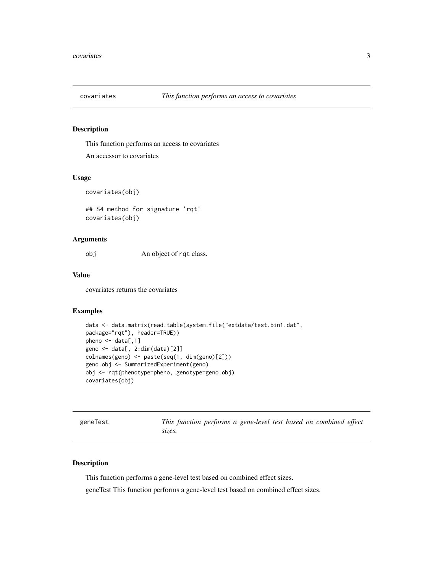<span id="page-2-0"></span>

This function performs an access to covariates

An accessor to covariates

#### Usage

covariates(obj)

## S4 method for signature 'rqt' covariates(obj)

# Arguments

obj An object of rqt class.

#### Value

covariates returns the covariates

# Examples

```
data <- data.matrix(read.table(system.file("extdata/test.bin1.dat",
package="rqt"), header=TRUE))
pheno <- data[,1]
geno <- data[, 2:dim(data)[2]]
colnames(geno) <- paste(seq(1, dim(geno)[2]))
geno.obj <- SummarizedExperiment(geno)
obj <- rqt(phenotype=pheno, genotype=geno.obj)
covariates(obj)
```
geneTest *This function performs a gene-level test based on combined effect sizes.*

#### Description

This function performs a gene-level test based on combined effect sizes.

geneTest This function performs a gene-level test based on combined effect sizes.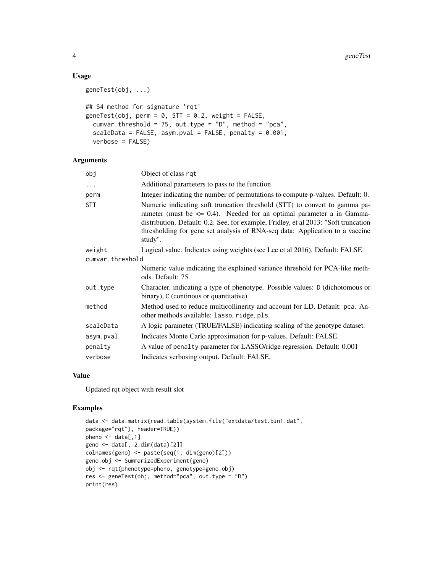# Usage

```
geneTest(obj, ...)
## S4 method for signature 'rqt'
geneTest(obj, perm = 0, STT = 0.2, weight = FALSE,
  cumvar.threshold = 75, out.type = "D", method = "pca",
  scaleData = FALSE, asym.pval = FALSE, penalty = 0.001,
  verbose = FALSE)
```
# Arguments

| obj              | Object of class rqt                                                                                                                                                                                                                                                                                                                       |  |  |
|------------------|-------------------------------------------------------------------------------------------------------------------------------------------------------------------------------------------------------------------------------------------------------------------------------------------------------------------------------------------|--|--|
| $\cdots$         | Additional parameters to pass to the function                                                                                                                                                                                                                                                                                             |  |  |
| perm             | Integer indicating the number of permutations to compute p-values. Default: 0.                                                                                                                                                                                                                                                            |  |  |
| <b>STT</b>       | Numeric indicating soft truncation threshold (STT) to convert to gamma pa-<br>rameter (must be $\leq$ 0.4). Needed for an optimal parameter a in Gamma-<br>distribution. Default: 0.2. See, for example, Fridley, et al 2013: "Soft truncation<br>thresholding for gene set analysis of RNA-seq data: Application to a vaccine<br>study". |  |  |
| weight           | Logical value. Indicates using weights (see Lee et al 2016). Default: FALSE.                                                                                                                                                                                                                                                              |  |  |
| cumvar.threshold |                                                                                                                                                                                                                                                                                                                                           |  |  |
|                  | Numeric value indicating the explained variance threshold for PCA-like meth-<br>ods. Default: 75                                                                                                                                                                                                                                          |  |  |
| out.type         | Character, indicating a type of phenotype. Possible values: D (dichotomous or<br>binary), C (continous or quantitative).                                                                                                                                                                                                                  |  |  |
| method           | Method used to reduce multicollinerity and account for LD. Default: pca. An-<br>other methods available: lasso, ridge, pls.                                                                                                                                                                                                               |  |  |
| scaleData        | A logic parameter (TRUE/FALSE) indicating scaling of the genotype dataset.                                                                                                                                                                                                                                                                |  |  |
| asym.pval        | Indicates Monte Carlo approximation for p-values. Default: FALSE.                                                                                                                                                                                                                                                                         |  |  |
| penalty          | A value of penalty parameter for LASSO/ridge regression. Default: 0.001                                                                                                                                                                                                                                                                   |  |  |
| verbose          | Indicates verbosing output. Default: FALSE.                                                                                                                                                                                                                                                                                               |  |  |

#### Value

Updated rqt object with result slot

#### Examples

```
data <- data.matrix(read.table(system.file("extdata/test.bin1.dat",
package="rqt"), header=TRUE))
pheno \leq data[,1]
geno <- data[, 2:dim(data)[2]]
colnames(geno) <- paste(seq(1, dim(geno)[2]))
geno.obj <- SummarizedExperiment(geno)
obj <- rqt(phenotype=pheno, genotype=geno.obj)
res <- geneTest(obj, method="pca", out.type = "D")
print(res)
```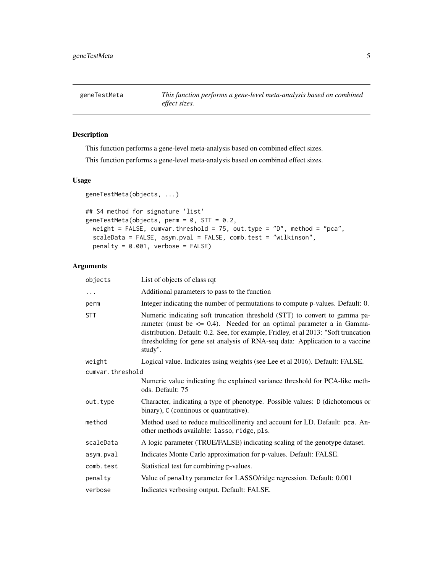<span id="page-4-0"></span>

This function performs a gene-level meta-analysis based on combined effect sizes.

This function performs a gene-level meta-analysis based on combined effect sizes.

# Usage

```
geneTestMeta(objects, ...)
```

```
## S4 method for signature 'list'
geneTestMeta(objects, perm = 0, STT = 0.2,
 weight = FALSE, cumvar.threshold = 75, out.type = "D", method = "pca",
  scaleData = FALSE, asym.pval = FALSE, comb.test = "wilkinson",
 penalty = 0.001, verbose = FALSE)
```
# Arguments

| objects          | List of objects of class rqt                                                                                                                                                                                                                                                                                                              |  |  |
|------------------|-------------------------------------------------------------------------------------------------------------------------------------------------------------------------------------------------------------------------------------------------------------------------------------------------------------------------------------------|--|--|
| $\ldots$         | Additional parameters to pass to the function                                                                                                                                                                                                                                                                                             |  |  |
| perm             | Integer indicating the number of permutations to compute p-values. Default: 0.                                                                                                                                                                                                                                                            |  |  |
| <b>STT</b>       | Numeric indicating soft truncation threshold (STT) to convert to gamma pa-<br>rameter (must be $\leq$ 0.4). Needed for an optimal parameter a in Gamma-<br>distribution. Default: 0.2. See, for example, Fridley, et al 2013: "Soft truncation<br>thresholding for gene set analysis of RNA-seq data: Application to a vaccine<br>study". |  |  |
| weight           | Logical value. Indicates using weights (see Lee et al 2016). Default: FALSE.                                                                                                                                                                                                                                                              |  |  |
| cumvar.threshold |                                                                                                                                                                                                                                                                                                                                           |  |  |
|                  | Numeric value indicating the explained variance threshold for PCA-like meth-<br>ods. Default: 75                                                                                                                                                                                                                                          |  |  |
| out.type         | Character, indicating a type of phenotype. Possible values: D (dichotomous or<br>binary), C (continous or quantitative).                                                                                                                                                                                                                  |  |  |
| method           | Method used to reduce multicollinerity and account for LD. Default: pca. An-<br>other methods available: lasso, ridge, pls.                                                                                                                                                                                                               |  |  |
| scaleData        | A logic parameter (TRUE/FALSE) indicating scaling of the genotype dataset.                                                                                                                                                                                                                                                                |  |  |
| asym.pval        | Indicates Monte Carlo approximation for p-values. Default: FALSE.                                                                                                                                                                                                                                                                         |  |  |
| comb.test        | Statistical test for combining p-values.                                                                                                                                                                                                                                                                                                  |  |  |
| penalty          | Value of penalty parameter for LASSO/ridge regression. Default: 0.001                                                                                                                                                                                                                                                                     |  |  |
| verbose          | Indicates verbosing output. Default: FALSE.                                                                                                                                                                                                                                                                                               |  |  |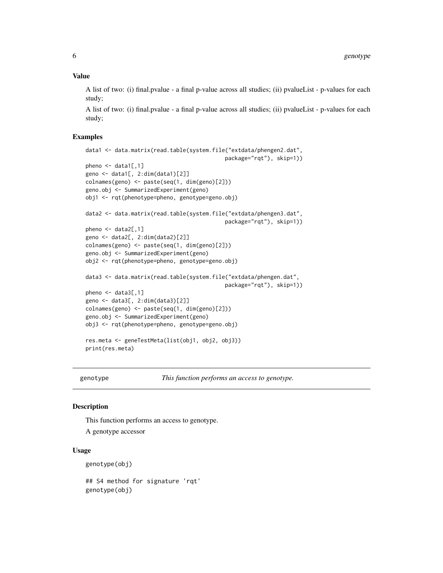# <span id="page-5-0"></span>Value

A list of two: (i) final.pvalue - a final p-value across all studies; (ii) pvalueList - p-values for each study;

A list of two: (i) final.pvalue - a final p-value across all studies; (ii) pvalueList - p-values for each study;

#### Examples

```
data1 <- data.matrix(read.table(system.file("extdata/phengen2.dat",
                                            package="rqt"), skip=1))
pheno \leq - data1[,1]
geno <- data1[, 2:dim(data1)[2]]
colnames(geno) <- paste(seq(1, dim(geno)[2]))
geno.obj <- SummarizedExperiment(geno)
obj1 <- rqt(phenotype=pheno, genotype=geno.obj)
data2 <- data.matrix(read.table(system.file("extdata/phengen3.dat",
                                            package="rqt"), skip=1))
pheno \leq - data2[,1]
geno <- data2[, 2:dim(data2)[2]]
colnames(geno) <- paste(seq(1, dim(geno)[2]))
geno.obj <- SummarizedExperiment(geno)
obj2 <- rqt(phenotype=pheno, genotype=geno.obj)
data3 <- data.matrix(read.table(system.file("extdata/phengen.dat",
                                            package="rqt"), skip=1))
pheno \leq - data3[,1]
geno <- data3[, 2:dim(data3)[2]]
colnames(geno) <- paste(seq(1, dim(geno)[2]))
geno.obj <- SummarizedExperiment(geno)
obj3 <- rqt(phenotype=pheno, genotype=geno.obj)
res.meta <- geneTestMeta(list(obj1, obj2, obj3))
print(res.meta)
```
genotype *This function performs an access to genotype.*

#### **Description**

This function performs an access to genotype.

A genotype accessor

#### Usage

genotype(obj)

## S4 method for signature 'rqt' genotype(obj)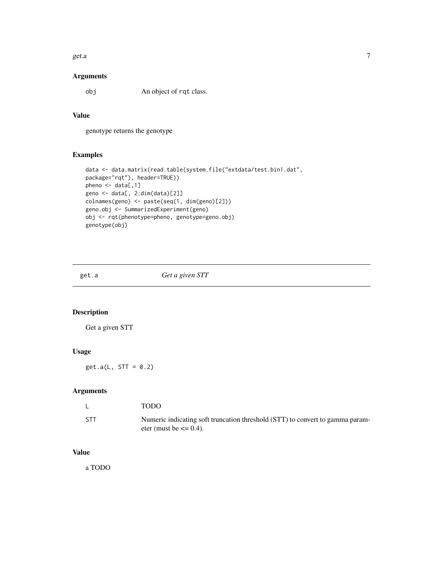<span id="page-6-0"></span>get.a  $\sim$  7

# Arguments

obj An object of rqt class.

# Value

genotype returns the genotype

# Examples

```
data <- data.matrix(read.table(system.file("extdata/test.bin1.dat",
package="rqt"), header=TRUE))
pheno <- data[,1]
geno <- data[, 2:dim(data)[2]]
colnames(geno) <- paste(seq(1, dim(geno)[2]))
geno.obj <- SummarizedExperiment(geno)
obj <- rqt(phenotype=pheno, genotype=geno.obj)
genotype(obj)
```
# get.a *Get a given STT*

# Description

Get a given STT

# Usage

 $get.a(L, STT = 0.2)$ 

# Arguments

|            | <b>TODO</b>                                                                                                 |
|------------|-------------------------------------------------------------------------------------------------------------|
| <b>STT</b> | Numeric indicating soft truncation threshold (STT) to convert to gamma param-<br>eter (must be $\leq$ 0.4). |

#### Value

a TODO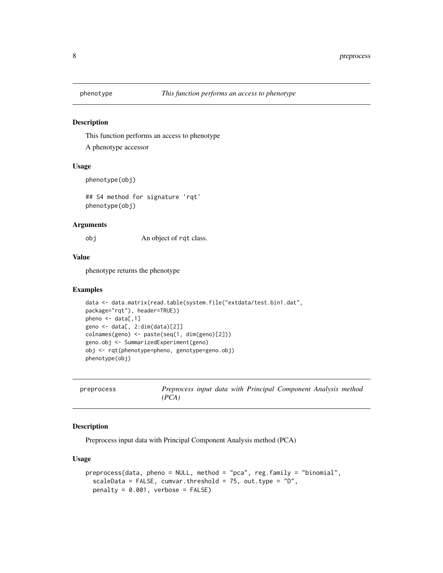<span id="page-7-0"></span>

This function performs an access to phenotype

A phenotype accessor

# Usage

phenotype(obj)

## S4 method for signature 'rqt' phenotype(obj)

#### Arguments

obj An object of rqt class.

#### Value

phenotype returns the phenotype

#### Examples

```
data <- data.matrix(read.table(system.file("extdata/test.bin1.dat",
package="rqt"), header=TRUE))
pheno \leq data[,1]
geno <- data[, 2:dim(data)[2]]
colnames(geno) <- paste(seq(1, dim(geno)[2]))
geno.obj <- SummarizedExperiment(geno)
obj <- rqt(phenotype=pheno, genotype=geno.obj)
phenotype(obj)
```

| preprocess |       |  |  | Preprocess input data with Principal Component Analysis method |  |
|------------|-------|--|--|----------------------------------------------------------------|--|
|            | (PCA) |  |  |                                                                |  |

# Description

Preprocess input data with Principal Component Analysis method (PCA)

#### Usage

```
preprocess(data, pheno = NULL, method = "pca", reg.family = "binomial",
  scaleData = FALSE, cumvar.threshold = 75, out.type = "D",
 penalty = 0.001, verbose = FALSE)
```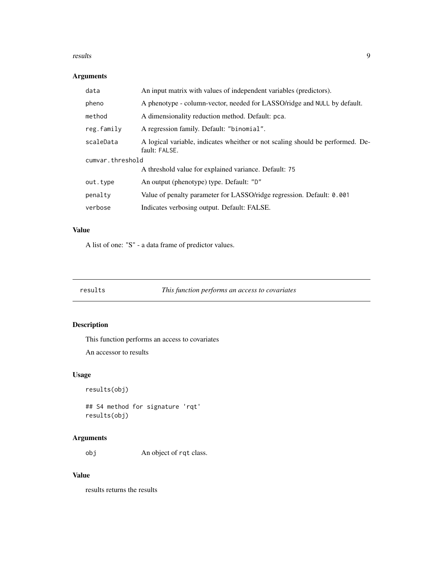#### <span id="page-8-0"></span>results and the contract of the contract of the contract of the contract of the contract of the contract of the contract of the contract of the contract of the contract of the contract of the contract of the contract of th

# Arguments

| data             | An input matrix with values of independent variables (predictors).                              |  |  |
|------------------|-------------------------------------------------------------------------------------------------|--|--|
| pheno            | A phenotype - column-vector, needed for LASSO/ridge and NULL by default.                        |  |  |
| method           | A dimensionality reduction method. Default: pca.                                                |  |  |
| reg.family       | A regression family. Default: "binomial".                                                       |  |  |
| scaleData        | A logical variable, indicates wheither or not scaling should be performed. De-<br>fault: FALSE. |  |  |
| cumvar.threshold |                                                                                                 |  |  |
|                  | A threshold value for explained variance. Default: 75                                           |  |  |
| out.type         | An output (phenotype) type. Default: "D"                                                        |  |  |
| penalty          | Value of penalty parameter for LASSO/ridge regression. Default: 0.001                           |  |  |
| verbose          | Indicates verbosing output. Default: FALSE.                                                     |  |  |

# Value

A list of one: "S" - a data frame of predictor values.

| results | This function performs an access to covariates |  |
|---------|------------------------------------------------|--|
|         |                                                |  |

# Description

This function performs an access to covariates

An accessor to results

# Usage

```
results(obj)
```
## S4 method for signature 'rqt' results(obj)

# Arguments

obj An object of rqt class.

# Value

results returns the results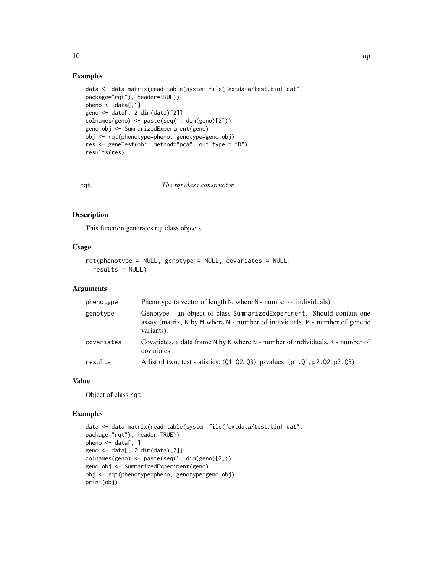# Examples

```
data <- data.matrix(read.table(system.file("extdata/test.bin1.dat",
package="rqt"), header=TRUE))
pheno \leq data[,1]
geno <- data[, 2:dim(data)[2]]
colnames(geno) <- paste(seq(1, dim(geno)[2]))
geno.obj <- SummarizedExperiment(geno)
obj <- rqt(phenotype=pheno, genotype=geno.obj)
res <- geneTest(obj, method="pca", out.type = "D")
results(res)
```
#### rqt *The rqt class constructor*

# Description

This function generates rqt class objects

# Usage

```
rqt(phenotype = NULL, genotype = NULL, covariates = NULL,
  results = NULL)
```
#### Arguments

| phenotype  | Phenotype (a vector of length N, where N - number of individuals).                                                                                                    |
|------------|-----------------------------------------------------------------------------------------------------------------------------------------------------------------------|
| genotype   | Genotype - an object of class Summarized Experiment. Should contain one<br>assay (matrix, N by M where N - number of individuals, M - number of genetic<br>variants). |
| covariates | Covariates, a data frame N by K where N - number of individuals, K - number of<br>covariates                                                                          |
| results    | A list of two: test statistics: (Q1, Q2, Q3), p-values: (p1. Q1, p2. Q2, p3. Q3)                                                                                      |

# Value

Object of class rqt

#### Examples

```
data <- data.matrix(read.table(system.file("extdata/test.bin1.dat",
package="rqt"), header=TRUE))
pheno \leq data[,1]
geno <- data[, 2:dim(data)[2]]
colnames(geno) <- paste(seq(1, dim(geno)[2]))
geno.obj <- SummarizedExperiment(geno)
obj <- rqt(phenotype=pheno, genotype=geno.obj)
print(obj)
```
<span id="page-9-0"></span> $10$  rqt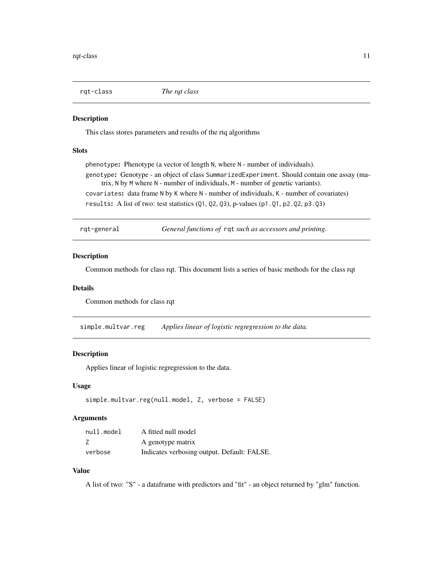<span id="page-10-0"></span>

This class stores parameters and results of the rtq algorithms

#### Slots

phenotype: Phenotype (a vector of length N, where N - number of individuals). genotype: Genotype - an object of class SummarizedExperiment. Should contain one assay (matrix, N by M where N - number of individuals, M - number of genetic variants). covariates: data frame N by K where N - number of individuals, K - number of covariates) results: A list of two: test statistics (Q1, Q2, Q3), p-values (p1.Q1, p2.Q2, p3.Q3)

rqt-general *General functions of* rqt *such as accessors and printing.*

#### Description

Common methods for class rqt. This document lists a series of basic methods for the class rqt

#### Details

Common methods for class rqt

simple.multvar.reg *Applies linear of logistic regregression to the data.*

# Description

Applies linear of logistic regregression to the data.

# Usage

```
simple.multvar.reg(null.model, Z, verbose = FALSE)
```
#### Arguments

| null.model | A fitted null model                         |
|------------|---------------------------------------------|
|            | A genotype matrix                           |
| verbose    | Indicates verbosing output. Default: FALSE. |

# Value

A list of two: "S" - a dataframe with predictors and "fit" - an object returned by "glm" function.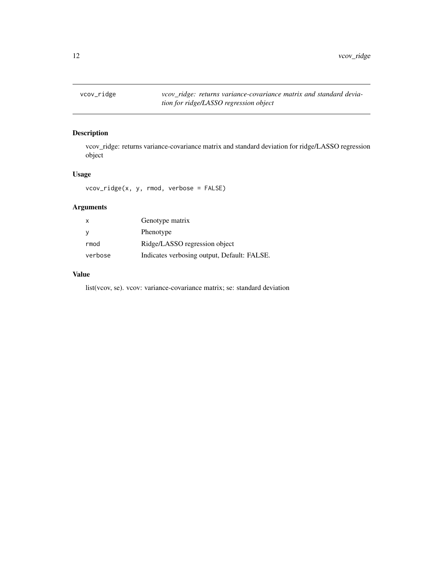<span id="page-11-0"></span>

vcov\_ridge: returns variance-covariance matrix and standard deviation for ridge/LASSO regression object

# Usage

vcov\_ridge(x, y, rmod, verbose = FALSE)

# Arguments

| x       | Genotype matrix                             |
|---------|---------------------------------------------|
| У       | Phenotype                                   |
| rmod    | Ridge/LASSO regression object               |
| verbose | Indicates verbosing output, Default: FALSE. |

# Value

list(vcov, se). vcov: variance-covariance matrix; se: standard deviation